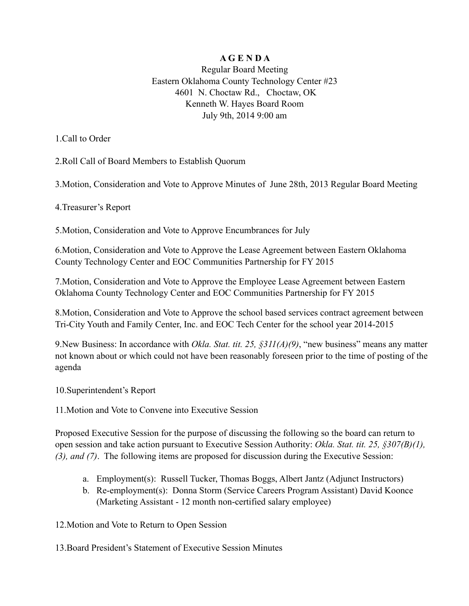## **A G E N D A**

Regular Board Meeting Eastern Oklahoma County Technology Center #23 4601 N. Choctaw Rd., Choctaw, OK Kenneth W. Hayes Board Room July 9th, 2014 9:00 am

1.Call to Order

2.Roll Call of Board Members to Establish Quorum

3.Motion, Consideration and Vote to Approve Minutes of June 28th, 2013 Regular Board Meeting

4.Treasurer's Report

5.Motion, Consideration and Vote to Approve Encumbrances for July

6.Motion, Consideration and Vote to Approve the Lease Agreement between Eastern Oklahoma County Technology Center and EOC Communities Partnership for FY 2015

7.Motion, Consideration and Vote to Approve the Employee Lease Agreement between Eastern Oklahoma County Technology Center and EOC Communities Partnership for FY 2015

8.Motion, Consideration and Vote to Approve the school based services contract agreement between Tri-City Youth and Family Center, Inc. and EOC Tech Center for the school year 2014-2015

9.New Business: In accordance with *Okla. Stat. tit. 25, §311(A)(9)*, "new business" means any matter not known about or which could not have been reasonably foreseen prior to the time of posting of the agenda

10.Superintendent's Report

11.Motion and Vote to Convene into Executive Session

Proposed Executive Session for the purpose of discussing the following so the board can return to open session and take action pursuant to Executive Session Authority: *Okla. Stat. tit. 25, §307(B)(1), (3), and (7)*. The following items are proposed for discussion during the Executive Session:

- a. Employment(s): Russell Tucker, Thomas Boggs, Albert Jantz (Adjunct Instructors)
- b. Re-employment(s): Donna Storm (Service Careers Program Assistant) David Koonce (Marketing Assistant - 12 month non-certified salary employee)

12.Motion and Vote to Return to Open Session

13.Board President's Statement of Executive Session Minutes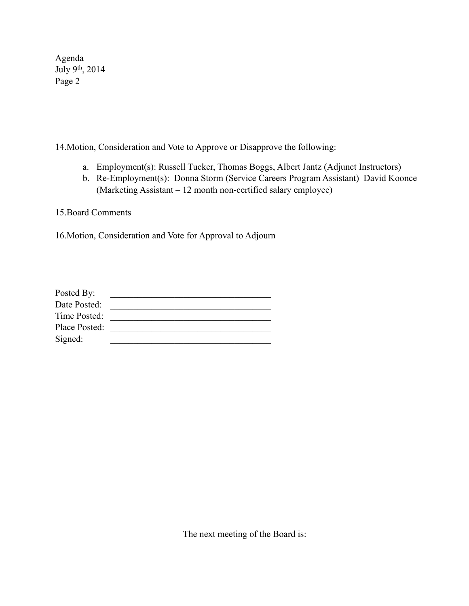Agenda July 9th, 2014 Page 2

14.Motion, Consideration and Vote to Approve or Disapprove the following:

- a. Employment(s): Russell Tucker, Thomas Boggs, Albert Jantz (Adjunct Instructors)
- b. Re-Employment(s): Donna Storm (Service Careers Program Assistant) David Koonce (Marketing Assistant – 12 month non-certified salary employee)

15.Board Comments

16.Motion, Consideration and Vote for Approval to Adjourn

| Posted By:    |  |
|---------------|--|
| Date Posted:  |  |
| Time Posted:  |  |
| Place Posted: |  |
| Signed:       |  |

The next meeting of the Board is: